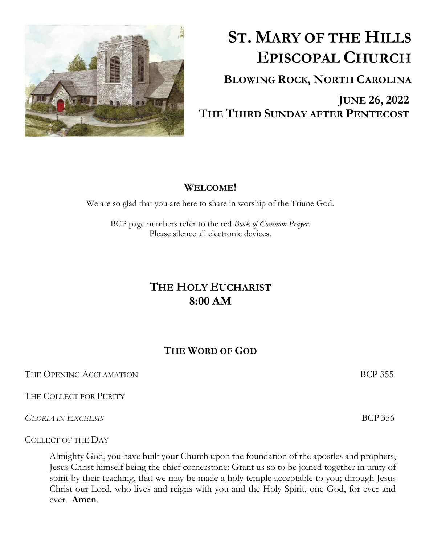

# **ST. MARY OF THE HILLS EPISCOPAL CHURCH**

**BLOWING ROCK, NORTH CAROLINA**

 **JUNE 26, 2022 THE THIRD SUNDAY AFTER PENTECOST**

#### **WELCOME!**

We are so glad that you are here to share in worship of the Triune God.

BCP page numbers refer to the red *Book of Common Prayer*. Please silence all electronic devices.

## **THE HOLY EUCHARIST 8:00 AM**

### **THE WORD OF GOD**

THE OPENING ACCLAMATION **BCP** 355

THE COLLECT FOR PURITY

*GLORIA IN EXCELSIS* BCP 356

COLLECT OF THE DAY

Almighty God, you have built your Church upon the foundation of the apostles and prophets, Jesus Christ himself being the chief cornerstone: Grant us so to be joined together in unity of spirit by their teaching, that we may be made a holy temple acceptable to you; through Jesus Christ our Lord, who lives and reigns with you and the Holy Spirit, one God, for ever and ever. **Amen**.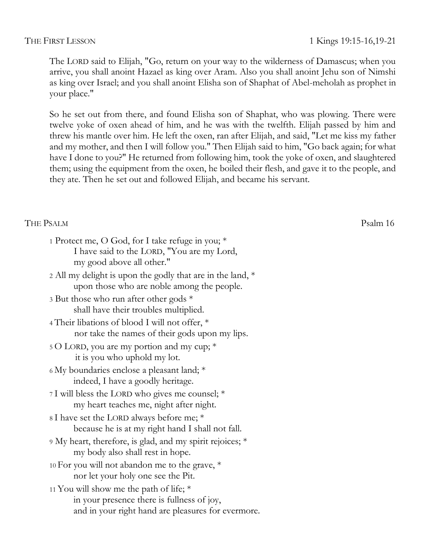The LORD said to Elijah, "Go, return on your way to the wilderness of Damascus; when you arrive, you shall anoint Hazael as king over Aram. Also you shall anoint Jehu son of Nimshi as king over Israel; and you shall anoint Elisha son of Shaphat of Abel-meholah as prophet in your place."

So he set out from there, and found Elisha son of Shaphat, who was plowing. There were twelve yoke of oxen ahead of him, and he was with the twelfth. Elijah passed by him and threw his mantle over him. He left the oxen, ran after Elijah, and said, "Let me kiss my father and my mother, and then I will follow you." Then Elijah said to him, "Go back again; for what have I done to you?" He returned from following him, took the yoke of oxen, and slaughtered them; using the equipment from the oxen, he boiled their flesh, and gave it to the people, and they ate. Then he set out and followed Elijah, and became his servant.

#### THE PSALM Psalm 16

| 1 Protect me, O God, for I take refuge in you; *           |
|------------------------------------------------------------|
| I have said to the LORD, "You are my Lord,                 |
| my good above all other."                                  |
| 2 All my delight is upon the godly that are in the land, * |
| upon those who are noble among the people.                 |

3 But those who run after other gods \* shall have their troubles multiplied.

4 Their libations of blood I will not offer, \* nor take the names of their gods upon my lips.

5 O LORD, you are my portion and my cup; \* it is you who uphold my lot.

6 My boundaries enclose a pleasant land; \* indeed, I have a goodly heritage.

7 I will bless the LORD who gives me counsel; \* my heart teaches me, night after night.

8 I have set the LORD always before me; \* because he is at my right hand I shall not fall.

9 My heart, therefore, is glad, and my spirit rejoices; \* my body also shall rest in hope.

10 For you will not abandon me to the grave, \* nor let your holy one see the Pit.

11 You will show me the path of life; \* in your presence there is fullness of joy, and in your right hand are pleasures for evermore.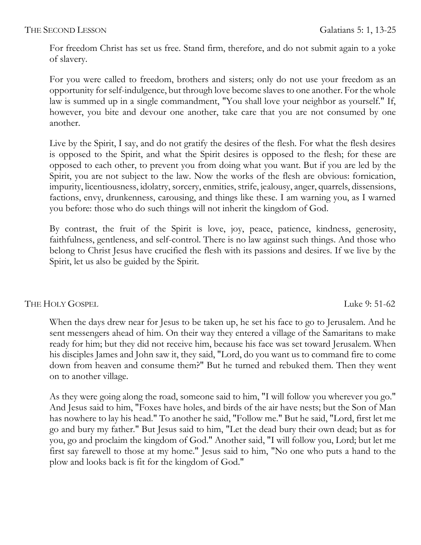For freedom Christ has set us free. Stand firm, therefore, and do not submit again to a yoke of slavery.

For you were called to freedom, brothers and sisters; only do not use your freedom as an opportunity for self-indulgence, but through love become slaves to one another. For the whole law is summed up in a single commandment, "You shall love your neighbor as yourself." If, however, you bite and devour one another, take care that you are not consumed by one another.

Live by the Spirit, I say, and do not gratify the desires of the flesh. For what the flesh desires is opposed to the Spirit, and what the Spirit desires is opposed to the flesh; for these are opposed to each other, to prevent you from doing what you want. But if you are led by the Spirit, you are not subject to the law. Now the works of the flesh are obvious: fornication, impurity, licentiousness, idolatry, sorcery, enmities, strife, jealousy, anger, quarrels, dissensions, factions, envy, drunkenness, carousing, and things like these. I am warning you, as I warned you before: those who do such things will not inherit the kingdom of God.

By contrast, the fruit of the Spirit is love, joy, peace, patience, kindness, generosity, faithfulness, gentleness, and self-control. There is no law against such things. And those who belong to Christ Jesus have crucified the flesh with its passions and desires. If we live by the Spirit, let us also be guided by the Spirit.

THE HOLY GOSPEL Luke 9: 51-62

When the days drew near for Jesus to be taken up, he set his face to go to Jerusalem. And he sent messengers ahead of him. On their way they entered a village of the Samaritans to make ready for him; but they did not receive him, because his face was set toward Jerusalem. When his disciples James and John saw it, they said, "Lord, do you want us to command fire to come down from heaven and consume them?" But he turned and rebuked them. Then they went on to another village.

As they were going along the road, someone said to him, "I will follow you wherever you go." And Jesus said to him, "Foxes have holes, and birds of the air have nests; but the Son of Man has nowhere to lay his head." To another he said, "Follow me." But he said, "Lord, first let me go and bury my father." But Jesus said to him, "Let the dead bury their own dead; but as for you, go and proclaim the kingdom of God." Another said, "I will follow you, Lord; but let me first say farewell to those at my home." Jesus said to him, "No one who puts a hand to the plow and looks back is fit for the kingdom of God."